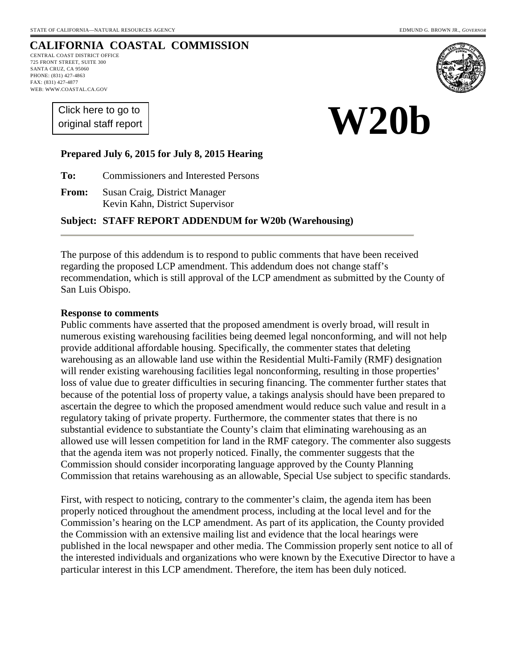**W20b** 

# **CALIFORNIA COASTAL COMMISSION**

CENTRAL COAST DISTRICT OFFICE 725 FRONT STREET, SUITE 300 SANTA CRUZ, CA 95060 PHONE: (831) 427-4863 FAX: (831) 427-4877 WEB: WWW.COASTAL.CA.GOV

> [Click here to go to](#page-12-0)  original staff report



# **Prepared July 6, 2015 for July 8, 2015 Hearing**

**To:** Commissioners and Interested Persons

**From:** Susan Craig, District Manager Kevin Kahn, District Supervisor

#### **Subject: STAFF REPORT ADDENDUM for W20b (Warehousing)**

The purpose of this addendum is to respond to public comments that have been received regarding the proposed LCP amendment. This addendum does not change staff's recommendation, which is still approval of the LCP amendment as submitted by the County of San Luis Obispo.

#### **Response to comments**

Public comments have asserted that the proposed amendment is overly broad, will result in numerous existing warehousing facilities being deemed legal nonconforming, and will not help provide additional affordable housing. Specifically, the commenter states that deleting warehousing as an allowable land use within the Residential Multi-Family (RMF) designation will render existing warehousing facilities legal nonconforming, resulting in those properties' loss of value due to greater difficulties in securing financing. The commenter further states that because of the potential loss of property value, a takings analysis should have been prepared to ascertain the degree to which the proposed amendment would reduce such value and result in a regulatory taking of private property. Furthermore, the commenter states that there is no substantial evidence to substantiate the County's claim that eliminating warehousing as an allowed use will lessen competition for land in the RMF category. The commenter also suggests that the agenda item was not properly noticed. Finally, the commenter suggests that the Commission should consider incorporating language approved by the County Planning Commission that retains warehousing as an allowable, Special Use subject to specific standards.

First, with respect to noticing, contrary to the commenter's claim, the agenda item has been properly noticed throughout the amendment process, including at the local level and for the Commission's hearing on the LCP amendment. As part of its application, the County provided the Commission with an extensive mailing list and evidence that the local hearings were published in the local newspaper and other media. The Commission properly sent notice to all of the interested individuals and organizations who were known by the Executive Director to have a particular interest in this LCP amendment. Therefore, the item has been duly noticed.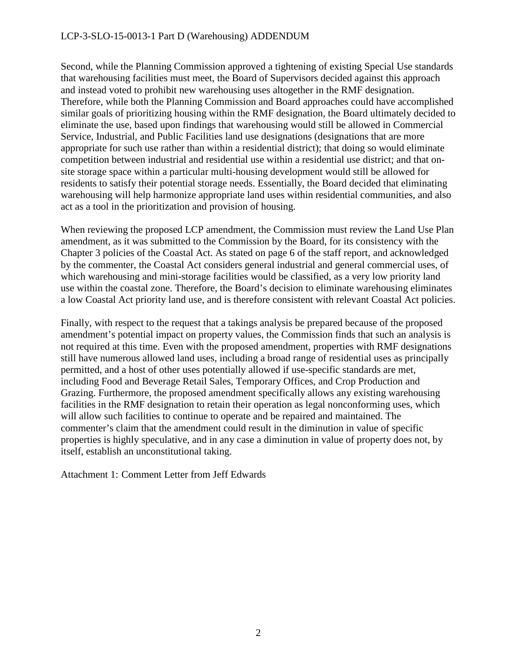#### LCP-3-SLO-15-0013-1 Part D (Warehousing) ADDENDUM

Second, while the Planning Commission approved a tightening of existing Special Use standards that warehousing facilities must meet, the Board of Supervisors decided against this approach and instead voted to prohibit new warehousing uses altogether in the RMF designation. Therefore, while both the Planning Commission and Board approaches could have accomplished similar goals of prioritizing housing within the RMF designation, the Board ultimately decided to eliminate the use, based upon findings that warehousing would still be allowed in Commercial Service, Industrial, and Public Facilities land use designations (designations that are more appropriate for such use rather than within a residential district); that doing so would eliminate competition between industrial and residential use within a residential use district; and that onsite storage space within a particular multi-housing development would still be allowed for residents to satisfy their potential storage needs. Essentially, the Board decided that eliminating warehousing will help harmonize appropriate land uses within residential communities, and also act as a tool in the prioritization and provision of housing.

When reviewing the proposed LCP amendment, the Commission must review the Land Use Plan amendment, as it was submitted to the Commission by the Board, for its consistency with the Chapter 3 policies of the Coastal Act. As stated on page 6 of the staff report, and acknowledged by the commenter, the Coastal Act considers general industrial and general commercial uses, of which warehousing and mini-storage facilities would be classified, as a very low priority land use within the coastal zone. Therefore, the Board's decision to eliminate warehousing eliminates a low Coastal Act priority land use, and is therefore consistent with relevant Coastal Act policies.

Finally, with respect to the request that a takings analysis be prepared because of the proposed amendment's potential impact on property values, the Commission finds that such an analysis is not required at this time. Even with the proposed amendment, properties with RMF designations still have numerous allowed land uses, including a broad range of residential uses as principally permitted, and a host of other uses potentially allowed if use-specific standards are met, including Food and Beverage Retail Sales, Temporary Offices, and Crop Production and Grazing. Furthermore, the proposed amendment specifically allows any existing warehousing facilities in the RMF designation to retain their operation as legal nonconforming uses, which will allow such facilities to continue to operate and be repaired and maintained. The commenter's claim that the amendment could result in the diminution in value of specific properties is highly speculative, and in any case a diminution in value of property does not, by itself, establish an unconstitutional taking.

Attachment 1: Comment Letter from Jeff Edwards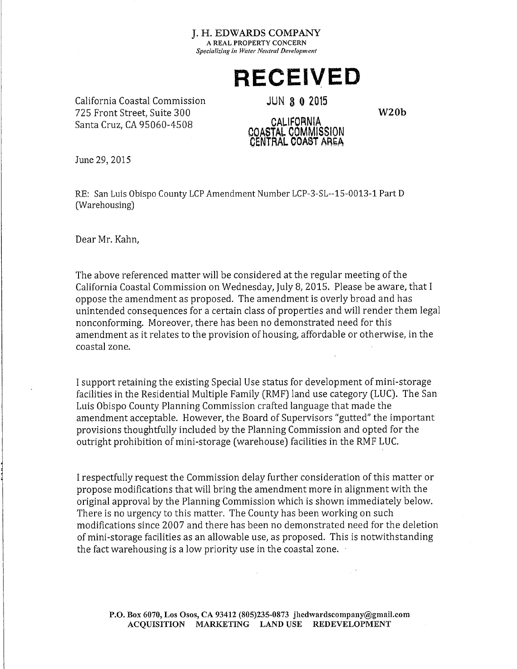# **RECEIVED**

California Coastal Commission 725 Front Street. Suite 300 Santa Cruz. CA 95060-4508

**JUN 8 0 2015** 

 $W20h$ 

#### **CALIFORNIA** COASTAL COMMISSION CENTRAL COAST AREA

June 29, 2015

RE: San Luis Obispo County LCP Amendment Number LCP-3-SL--15-0013-1 Part D (Warehousing)

Dear Mr. Kahn.

The above referenced matter will be considered at the regular meeting of the California Coastal Commission on Wednesday, July 8, 2015. Please be aware, that I oppose the amendment as proposed. The amendment is overly broad and has unintended consequences for a certain class of properties and will render them legal nonconforming. Moreover, there has been no demonstrated need for this amendment as it relates to the provision of housing, affordable or otherwise, in the coastal zone.

I support retaining the existing Special Use status for development of mini-storage facilities in the Residential Multiple Family (RMF) land use category (LUC). The San Luis Obispo County Planning Commission crafted language that made the amendment acceptable. However, the Board of Supervisors "gutted" the important provisions thoughtfully included by the Planning Commission and opted for the outright prohibition of mini-storage (warehouse) facilities in the RMF LUC.

I respectfully request the Commission delay further consideration of this matter or propose modifications that will bring the amendment more in alignment with the original approval by the Planning Commission which is shown immediately below. There is no urgency to this matter. The County has been working on such modifications since 2007 and there has been no demonstrated need for the deletion of mini-storage facilities as an allowable use, as proposed. This is notwithstanding the fact warehousing is a low priority use in the coastal zone.

P.O. Box 6070, Los Osos, CA 93412 (805)235-0873 jhedwardscompany@gmail.com ACQUISITION MARKETING LAND USE REDEVELOPMENT

 $\bar{z}$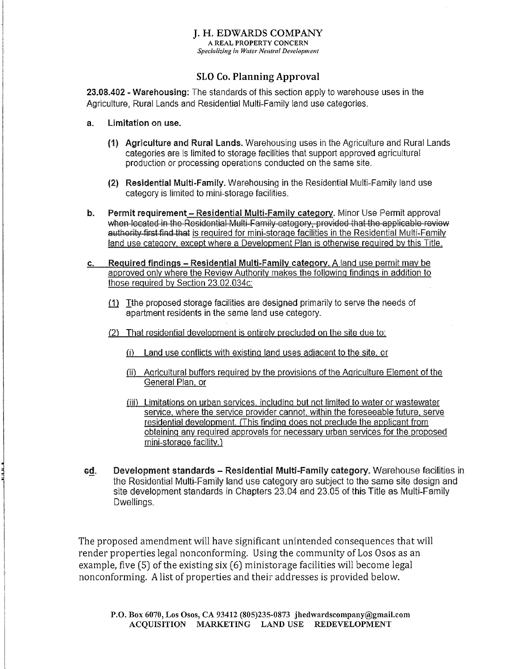#### **I. H. EDWARDS COMPANY** A REAL PROPERTY CONCERN

Specializing in Water Neutral Development

#### **SLO Co. Planning Approval**

23.08.402 - Warehousing: The standards of this section apply to warehouse uses in the Agriculture, Rural Lands and Residential Multi-Family land use categories.

- Limitation on use.  $\mathbf{a}$ 
	- (1) Agriculture and Rural Lands. Warehousing uses in the Agriculture and Rural Lands categories are is limited to storage facilities that support approved agricultural production or processing operations conducted on the same site.
	- (2) Residential Multi-Family, Warehousing in the Residential Multi-Family land use category is limited to mini-storage facilities.
- Permit requirement Residential Multi-Family category. Minor Use Permit approval b. when located in the Residential Multi-Family category, provided that the applicable review authority first find that is required for mini-storage facilities in the Residential Multi-Family land use category, except where a Development Plan is otherwise required by this Title.
- Required findings Residential Multi-Family category. A land use permit may be  $C<sub>1</sub>$ approved only where the Review Authority makes the following findings in addition to those required by Section 23.02.034c:
	- (1) Tthe proposed storage facilities are designed primarily to serve the needs of apartment residents in the same land use category.
	- (2) That residential development is entirely precluded on the site due to:
		- (i) Land use conflicts with existing land uses adiacent to the site, or
		- (ii) Agricultural buffers required by the provisions of the Agriculture Element of the General Plan, or
		- (iii) Limitations on urban services, including but not limited to water or wastewater service, where the service provider cannot, within the foreseeable future, serve residential development. (This finding does not preclude the applicant from obtaining any required approvals for necessary urban services for the proposed mini-storage facility.)
- Development standards Residential Multi-Family category. Warehouse facilities in ed. the Residential Multi-Family land use category are subject to the same site design and site development standards in Chapters 23.04 and 23.05 of this Title as Multi-Family Dwellings.

The proposed amendment will have significant unintended consequences that will render properties legal nonconforming. Using the community of Los Osos as an example, five (5) of the existing six (6) ministorage facilities will become legal nonconforming. A list of properties and their addresses is provided below.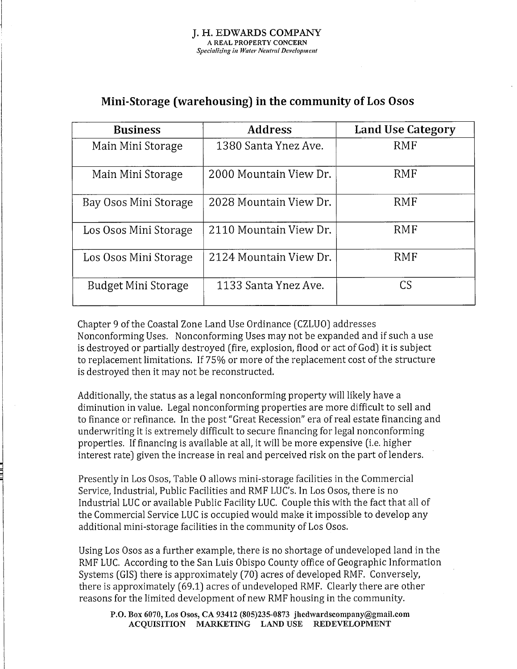# Mini-Storage (warehousing) in the community of Los Osos

| <b>Business</b>       | <b>Address</b>         | Land Use Category |
|-----------------------|------------------------|-------------------|
| Main Mini Storage     | 1380 Santa Ynez Ave.   | <b>RMF</b>        |
| Main Mini Storage     | 2000 Mountain View Dr. | <b>RMF</b>        |
| Bay Osos Mini Storage | 2028 Mountain View Dr. | RMF               |
| Los Osos Mini Storage | 2110 Mountain View Dr. | RMF               |
| Los Osos Mini Storage | 2124 Mountain View Dr. | RMF               |
| Budget Mini Storage   | 1133 Santa Ynez Ave.   | CS                |

Chapter 9 of the Coastal Zone Land Use Ordinance (CZLUO) addresses Nonconforming Uses. Nonconforming Uses may not be expanded and if such a use is destroyed or partially destroyed (fire, explosion, flood or act of God) it is subject to replacement limitations. If 75% or more of the replacement cost of the structure is destroyed then it may not be reconstructed.

Additionally, the status as a legal nonconforming property will likely have a diminution in value. Legal nonconforming properties are more difficult to sell and to finance or refinance. In the post "Great Recession" era of real estate financing and underwriting it is extremely difficult to secure financing for legal nonconforming properties. If financing is available at all, it will be more expensive (i.e. higher interest rate) given the increase in real and perceived risk on the part of lenders.

Presently in Los Osos, Table O allows mini-storage facilities in the Commercial Service, Industrial, Public Facilities and RMF LUC's. In Los Osos, there is no Industrial LUC or available Public Facility LUC. Couple this with the fact that all of the Commercial Service LUC is occupied would make it impossible to develop any additional mini-storage facilities in the community of Los Osos.

Using Los Osos as a further example, there is no shortage of undeveloped land in the RMF LUC. According to the San Luis Obispo County office of Geographic Information Systems (GIS) there is approximately (70) acres of developed RMF. Conversely, there is approximately (69.1) acres of undeveloped RMF. Clearly there are other reasons for the limited development of new RMF housing in the community.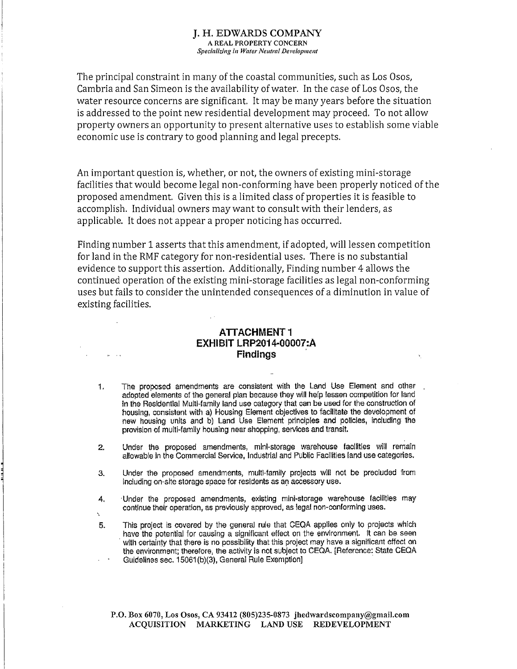The principal constraint in many of the coastal communities, such as Los Osos, Cambria and San Simeon is the availability of water. In the case of Los Osos, the water resource concerns are significant. It may be many years before the situation is addressed to the point new residential development may proceed. To not allow property owners an opportunity to present alternative uses to establish some viable economic use is contrary to good planning and legal precepts.

An important question is, whether, or not, the owners of existing mini-storage facilities that would become legal non-conforming have been properly noticed of the proposed amendment. Given this is a limited class of properties it is feasible to accomplish. Individual owners may want to consult with their lenders, as applicable. It does not appear a proper noticing has occurred.

Finding number 1 asserts that this amendment, if adopted, will lessen competition for land in the RMF category for non-residential uses. There is no substantial evidence to support this assertion. Additionally, Finding number 4 allows the continued operation of the existing mini-storage facilities as legal non-conforming uses but fails to consider the unintended consequences of a diminution in value of existing facilities.

#### **ATTACHMENT1** EXHIBIT LRP2014-00007:A **Findinas**

- The proposed amendments are consistent with the Land Use Element and other 1. adopted elements of the general plan because they will help lessen competition for land in the Residential Multi-family land use category that can be used for the construction of housing, consistent with a) Housing Element objectives to facilitate the development of new housing units and b) Land Use Element principles and policies, including the provision of multi-family housing near shopping, services and transit.
- Under the proposed amendments, mini-storage warehouse facilities will remain  $2<sup>1</sup>$ allowable in the Commercial Service, Industrial and Public Facilities land use categories.
- Under the proposed amendments, multi-family projects will not be precluded from  $\mathbf{a}$ . including on-site storage space for residents as an accessory use.
- Under the proposed amendments, existing mini-storage warehouse facilities may 4. continue their operation, as previously approved, as legal non-conforming uses.
- This project is covered by the general rule that CEQA applies only to projects which 5. have the potential for causing a significant effect on the environment. It can be seen with certainty that there is no possibility that this project may have a significant effect on the environment; therefore, the activity is not subject to CEQA. [Reference: State CEQA Guidelines sec. 15061(b)(3), General Rule Exemption]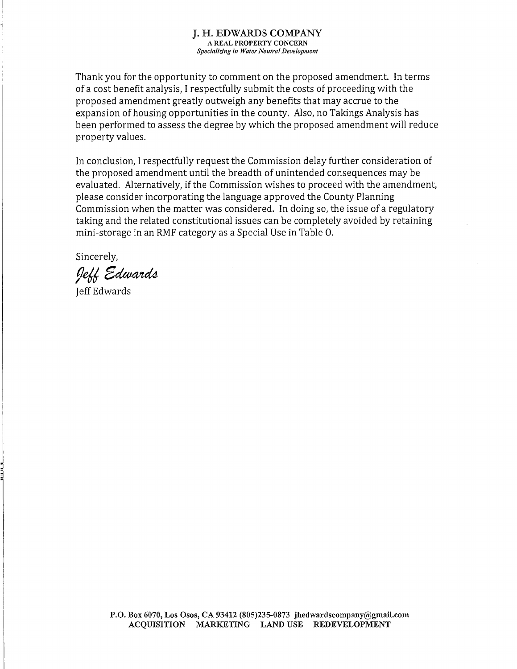Thank you for the opportunity to comment on the proposed amendment. In terms of a cost benefit analysis, I respectfully submit the costs of proceeding with the proposed amendment greatly outweigh any benefits that may accrue to the expansion of housing opportunities in the county. Also, no Takings Analysis has been performed to assess the degree by which the proposed amendment will reduce property values.

In conclusion, I respectfully request the Commission delay further consideration of the proposed amendment until the breadth of unintended consequences may be evaluated. Alternatively, if the Commission wishes to proceed with the amendment, please consider incorporating the language approved the County Planning Commission when the matter was considered. In doing so, the issue of a regulatory taking and the related constitutional issues can be completely avoided by retaining mini-storage in an RMF category as a Special Use in Table O.

Sincerely,

Jeff Edwards

**Jeff Edwards**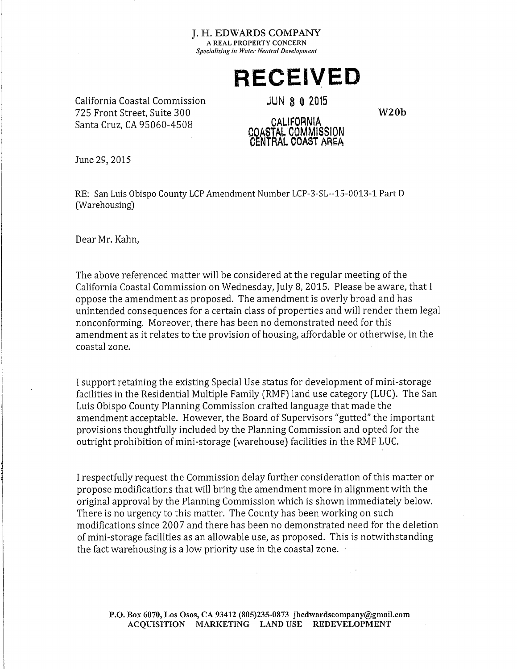# **RECEIVED**

California Coastal Commission 725 Front Street. Suite 300 Santa Cruz. CA 95060-4508

**JUN 8 0 2015** 

 $W20h$ 

#### **CALIFORNIA** COASTAL COMMISSION CENTRAL COAST AREA

June 29, 2015

RE: San Luis Obispo County LCP Amendment Number LCP-3-SL--15-0013-1 Part D (Warehousing)

Dear Mr. Kahn.

The above referenced matter will be considered at the regular meeting of the California Coastal Commission on Wednesday, July 8, 2015. Please be aware, that I oppose the amendment as proposed. The amendment is overly broad and has unintended consequences for a certain class of properties and will render them legal nonconforming. Moreover, there has been no demonstrated need for this amendment as it relates to the provision of housing, affordable or otherwise, in the coastal zone.

I support retaining the existing Special Use status for development of mini-storage facilities in the Residential Multiple Family (RMF) land use category (LUC). The San Luis Obispo County Planning Commission crafted language that made the amendment acceptable. However, the Board of Supervisors "gutted" the important provisions thoughtfully included by the Planning Commission and opted for the outright prohibition of mini-storage (warehouse) facilities in the RMF LUC.

I respectfully request the Commission delay further consideration of this matter or propose modifications that will bring the amendment more in alignment with the original approval by the Planning Commission which is shown immediately below. There is no urgency to this matter. The County has been working on such modifications since 2007 and there has been no demonstrated need for the deletion of mini-storage facilities as an allowable use, as proposed. This is notwithstanding the fact warehousing is a low priority use in the coastal zone.

P.O. Box 6070, Los Osos, CA 93412 (805)235-0873 jhedwardscompany@gmail.com ACQUISITION MARKETING LAND USE REDEVELOPMENT

 $\bar{z}$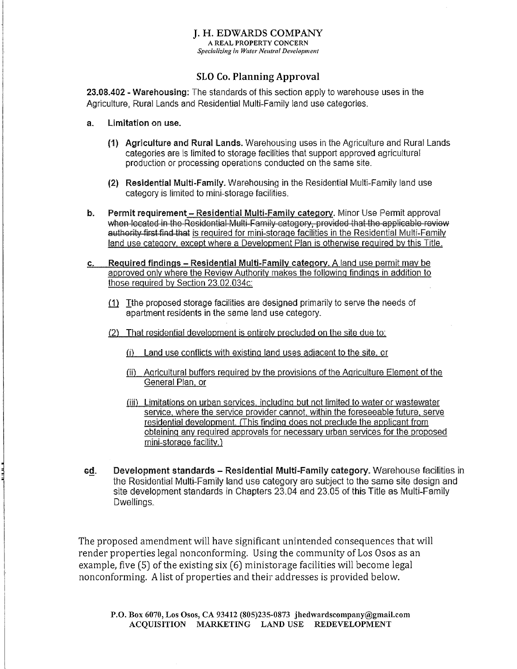#### **I. H. EDWARDS COMPANY** A REAL PROPERTY CONCERN

Specializing in Water Neutral Development

#### **SLO Co. Planning Approval**

23.08.402 - Warehousing: The standards of this section apply to warehouse uses in the Agriculture, Rural Lands and Residential Multi-Family land use categories.

- Limitation on use.  $\mathbf{a}$ 
	- (1) Agriculture and Rural Lands. Warehousing uses in the Agriculture and Rural Lands categories are is limited to storage facilities that support approved agricultural production or processing operations conducted on the same site.
	- (2) Residential Multi-Family, Warehousing in the Residential Multi-Family land use category is limited to mini-storage facilities.
- Permit requirement Residential Multi-Family category. Minor Use Permit approval b. when located in the Residential Multi-Family category, provided that the applicable review authority first find that is required for mini-storage facilities in the Residential Multi-Family land use category, except where a Development Plan is otherwise required by this Title.
- Required findings Residential Multi-Family category. A land use permit may be  $C<sub>1</sub>$ approved only where the Review Authority makes the following findings in addition to those required by Section 23.02.034c:
	- (1) Tthe proposed storage facilities are designed primarily to serve the needs of apartment residents in the same land use category.
	- (2) That residential development is entirely precluded on the site due to:
		- (i) Land use conflicts with existing land uses adiacent to the site, or
		- (ii) Agricultural buffers required by the provisions of the Agriculture Element of the General Plan, or
		- (iii) Limitations on urban services, including but not limited to water or wastewater service, where the service provider cannot, within the foreseeable future, serve residential development. (This finding does not preclude the applicant from obtaining any required approvals for necessary urban services for the proposed mini-storage facility.)
- Development standards Residential Multi-Family category. Warehouse facilities in ed. the Residential Multi-Family land use category are subject to the same site design and site development standards in Chapters 23.04 and 23.05 of this Title as Multi-Family Dwellings.

The proposed amendment will have significant unintended consequences that will render properties legal nonconforming. Using the community of Los Osos as an example, five (5) of the existing six (6) ministorage facilities will become legal nonconforming. A list of properties and their addresses is provided below.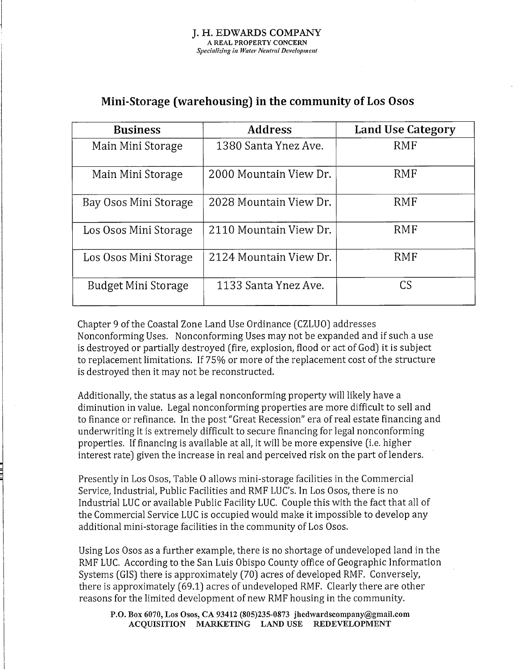# Mini-Storage (warehousing) in the community of Los Osos

| <b>Business</b>       | <b>Address</b>         | Land Use Category |
|-----------------------|------------------------|-------------------|
| Main Mini Storage     | 1380 Santa Ynez Ave.   | <b>RMF</b>        |
| Main Mini Storage     | 2000 Mountain View Dr. | <b>RMF</b>        |
| Bay Osos Mini Storage | 2028 Mountain View Dr. | RMF               |
| Los Osos Mini Storage | 2110 Mountain View Dr. | RMF               |
| Los Osos Mini Storage | 2124 Mountain View Dr. | RMF               |
| Budget Mini Storage   | 1133 Santa Ynez Ave.   | CS                |

Chapter 9 of the Coastal Zone Land Use Ordinance (CZLUO) addresses Nonconforming Uses. Nonconforming Uses may not be expanded and if such a use is destroyed or partially destroyed (fire, explosion, flood or act of God) it is subject to replacement limitations. If 75% or more of the replacement cost of the structure is destroyed then it may not be reconstructed.

Additionally, the status as a legal nonconforming property will likely have a diminution in value. Legal nonconforming properties are more difficult to sell and to finance or refinance. In the post "Great Recession" era of real estate financing and underwriting it is extremely difficult to secure financing for legal nonconforming properties. If financing is available at all, it will be more expensive (i.e. higher interest rate) given the increase in real and perceived risk on the part of lenders.

Presently in Los Osos, Table O allows mini-storage facilities in the Commercial Service, Industrial, Public Facilities and RMF LUC's. In Los Osos, there is no Industrial LUC or available Public Facility LUC. Couple this with the fact that all of the Commercial Service LUC is occupied would make it impossible to develop any additional mini-storage facilities in the community of Los Osos.

Using Los Osos as a further example, there is no shortage of undeveloped land in the RMF LUC. According to the San Luis Obispo County office of Geographic Information Systems (GIS) there is approximately (70) acres of developed RMF. Conversely, there is approximately (69.1) acres of undeveloped RMF. Clearly there are other reasons for the limited development of new RMF housing in the community.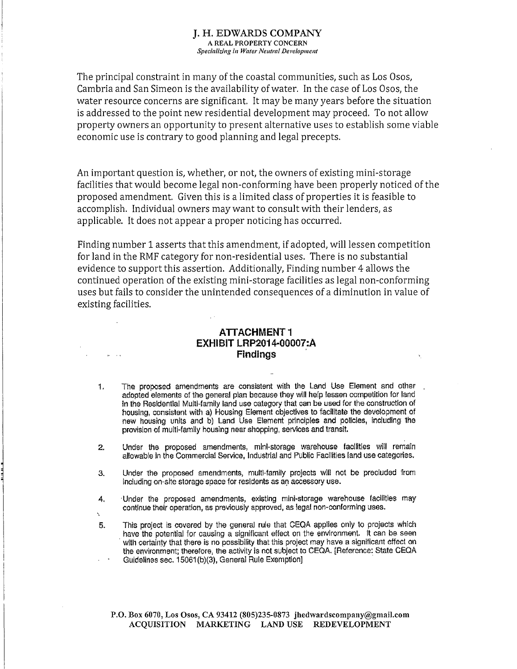The principal constraint in many of the coastal communities, such as Los Osos, Cambria and San Simeon is the availability of water. In the case of Los Osos, the water resource concerns are significant. It may be many years before the situation is addressed to the point new residential development may proceed. To not allow property owners an opportunity to present alternative uses to establish some viable economic use is contrary to good planning and legal precepts.

An important question is, whether, or not, the owners of existing mini-storage facilities that would become legal non-conforming have been properly noticed of the proposed amendment. Given this is a limited class of properties it is feasible to accomplish. Individual owners may want to consult with their lenders, as applicable. It does not appear a proper noticing has occurred.

Finding number 1 asserts that this amendment, if adopted, will lessen competition for land in the RMF category for non-residential uses. There is no substantial evidence to support this assertion. Additionally, Finding number 4 allows the continued operation of the existing mini-storage facilities as legal non-conforming uses but fails to consider the unintended consequences of a diminution in value of existing facilities.

#### **ATTACHMENT1** EXHIBIT LRP2014-00007:A **Findinas**

- The proposed amendments are consistent with the Land Use Element and other 1. adopted elements of the general plan because they will help lessen competition for land in the Residential Multi-family land use category that can be used for the construction of housing, consistent with a) Housing Element objectives to facilitate the development of new housing units and b) Land Use Element principles and policies, including the provision of multi-family housing near shopping, services and transit.
- Under the proposed amendments, mini-storage warehouse facilities will remain  $2<sup>1</sup>$ allowable in the Commercial Service, Industrial and Public Facilities land use categories.
- Under the proposed amendments, multi-family projects will not be precluded from  $\mathbf{a}$ . including on-site storage space for residents as an accessory use.
- Under the proposed amendments, existing mini-storage warehouse facilities may 4. continue their operation, as previously approved, as legal non-conforming uses.
- This project is covered by the general rule that CEQA applies only to projects which 5. have the potential for causing a significant effect on the environment. It can be seen with certainty that there is no possibility that this project may have a significant effect on the environment; therefore, the activity is not subject to CEQA. [Reference: State CEQA Guidelines sec. 15061(b)(3), General Rule Exemption]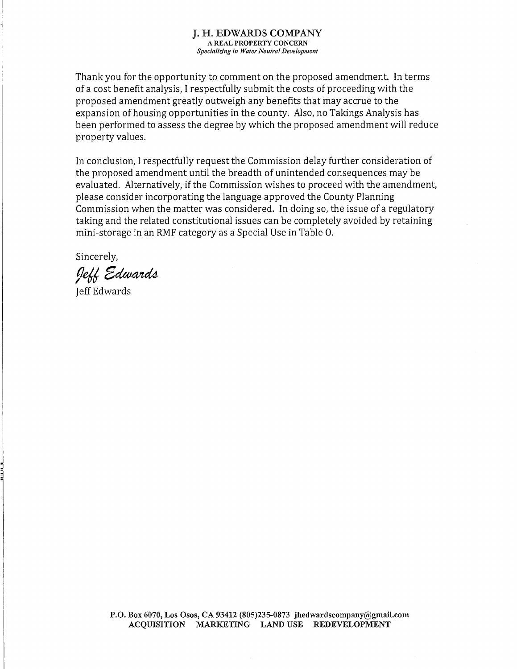Thank you for the opportunity to comment on the proposed amendment. In terms of a cost benefit analysis, I respectfully submit the costs of proceeding with the proposed amendment greatly outweigh any benefits that may accrue to the expansion of housing opportunities in the county. Also, no Takings Analysis has been performed to assess the degree by which the proposed amendment will reduce property values.

In conclusion, I respectfully request the Commission delay further consideration of the proposed amendment until the breadth of unintended consequences may be evaluated. Alternatively, if the Commission wishes to proceed with the amendment, please consider incorporating the language approved the County Planning Commission when the matter was considered. In doing so, the issue of a regulatory taking and the related constitutional issues can be completely avoided by retaining mini-storage in an RMF category as a Special Use in Table O.

Sincerely,

Jeff Edwards

**Jeff Edwards**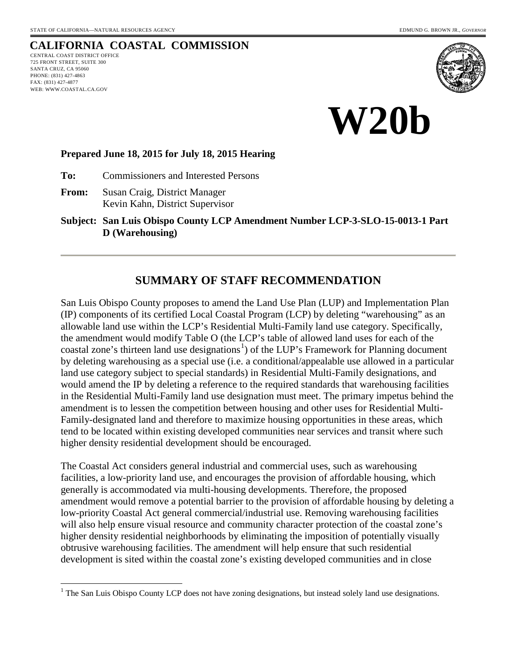# <span id="page-12-0"></span>**CALIFORNIA COASTAL COMMISSION**

CENTRAL COAST DISTRICT OFFICE 725 FRONT STREET, SUITE 300 SANTA CRUZ, CA 95060 PHONE: (831) 427-4863 FAX: (831) 427-4877 WEB: WWW.COASTAL.CA.GOV





#### **Prepared June 18, 2015 for July 18, 2015 Hearing**

**To:** Commissioners and Interested Persons

**From:** Susan Craig, District Manager Kevin Kahn, District Supervisor

**Subject: San Luis Obispo County LCP Amendment Number LCP-3-SLO-15-0013-1 Part D (Warehousing)**

## **SUMMARY OF STAFF RECOMMENDATION**

San Luis Obispo County proposes to amend the Land Use Plan (LUP) and Implementation Plan (IP) components of its certified Local Coastal Program (LCP) by deleting "warehousing" as an allowable land use within the LCP's Residential Multi-Family land use category. Specifically, the amendment would modify Table O (the LCP's table of allowed land uses for each of the coastal zone's thirteen land use designations<sup>[1](#page-12-1)</sup>) of the LUP's Framework for Planning document by deleting warehousing as a special use (i.e. a conditional/appealable use allowed in a particular land use category subject to special standards) in Residential Multi-Family designations, and would amend the IP by deleting a reference to the required standards that warehousing facilities in the Residential Multi-Family land use designation must meet. The primary impetus behind the amendment is to lessen the competition between housing and other uses for Residential Multi-Family-designated land and therefore to maximize housing opportunities in these areas, which tend to be located within existing developed communities near services and transit where such higher density residential development should be encouraged.

The Coastal Act considers general industrial and commercial uses, such as warehousing facilities, a low-priority land use, and encourages the provision of affordable housing, which generally is accommodated via multi-housing developments. Therefore, the proposed amendment would remove a potential barrier to the provision of affordable housing by deleting a low-priority Coastal Act general commercial/industrial use. Removing warehousing facilities will also help ensure visual resource and community character protection of the coastal zone's higher density residential neighborhoods by eliminating the imposition of potentially visually obtrusive warehousing facilities. The amendment will help ensure that such residential development is sited within the coastal zone's existing developed communities and in close

<span id="page-12-1"></span> $\overline{a}$  $1$  The San Luis Obispo County LCP does not have zoning designations, but instead solely land use designations.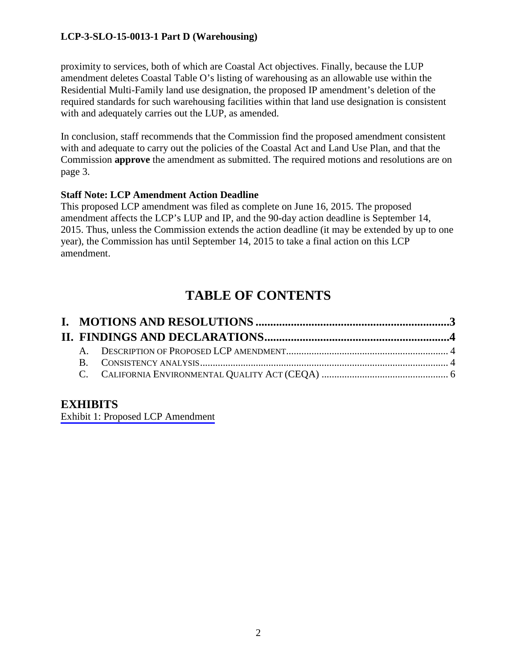proximity to services, both of which are Coastal Act objectives. Finally, because the LUP amendment deletes Coastal Table O's listing of warehousing as an allowable use within the Residential Multi-Family land use designation, the proposed IP amendment's deletion of the required standards for such warehousing facilities within that land use designation is consistent with and adequately carries out the LUP, as amended.

In conclusion, staff recommends that the Commission find the proposed amendment consistent with and adequate to carry out the policies of the Coastal Act and Land Use Plan, and that the Commission **approve** the amendment as submitted. The required motions and resolutions are on page 3.

### **Staff Note: LCP Amendment Action Deadline**

This proposed LCP amendment was filed as complete on June 16, 2015. The proposed amendment affects the LCP's LUP and IP, and the 90-day action deadline is September 14, 2015. Thus, unless the Commission extends the action deadline (it may be extended by up to one year), the Commission has until September 14, 2015 to take a final action on this LCP amendment.

# **TABLE OF CONTENTS**

## **EXHIBITS**

[Exhibit 1: Proposed LCP Amendment](#page-19-0)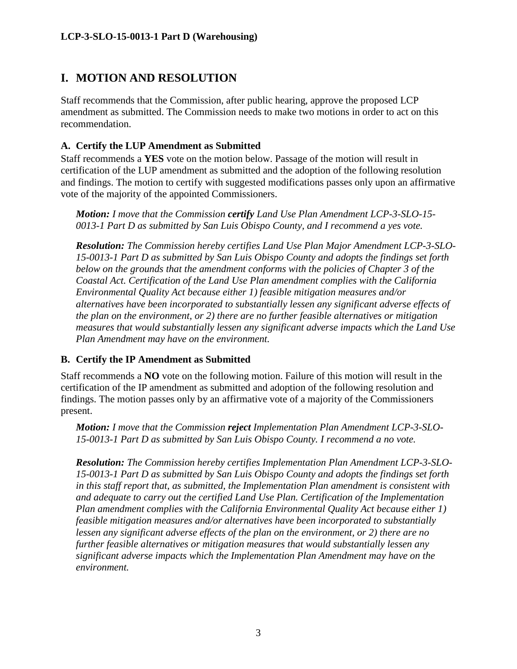# <span id="page-14-0"></span>**I. MOTION AND RESOLUTION**

Staff recommends that the Commission, after public hearing, approve the proposed LCP amendment as submitted. The Commission needs to make two motions in order to act on this recommendation.

## **A. Certify the LUP Amendment as Submitted**

Staff recommends a **YES** vote on the motion below. Passage of the motion will result in certification of the LUP amendment as submitted and the adoption of the following resolution and findings. The motion to certify with suggested modifications passes only upon an affirmative vote of the majority of the appointed Commissioners.

*Motion: I move that the Commission certify Land Use Plan Amendment LCP-3-SLO-15- 0013-1 Part D as submitted by San Luis Obispo County, and I recommend a yes vote.*

*Resolution: The Commission hereby certifies Land Use Plan Major Amendment LCP-3-SLO-15-0013-1 Part D as submitted by San Luis Obispo County and adopts the findings set forth below on the grounds that the amendment conforms with the policies of Chapter 3 of the Coastal Act. Certification of the Land Use Plan amendment complies with the California Environmental Quality Act because either 1) feasible mitigation measures and/or alternatives have been incorporated to substantially lessen any significant adverse effects of the plan on the environment, or 2) there are no further feasible alternatives or mitigation measures that would substantially lessen any significant adverse impacts which the Land Use Plan Amendment may have on the environment.* 

### **B. Certify the IP Amendment as Submitted**

Staff recommends a **NO** vote on the following motion. Failure of this motion will result in the certification of the IP amendment as submitted and adoption of the following resolution and findings. The motion passes only by an affirmative vote of a majority of the Commissioners present.

*Motion: I move that the Commission reject Implementation Plan Amendment LCP-3-SLO-15-0013-1 Part D as submitted by San Luis Obispo County. I recommend a no vote.*

*Resolution: The Commission hereby certifies Implementation Plan Amendment LCP-3-SLO-15-0013-1 Part D as submitted by San Luis Obispo County and adopts the findings set forth in this staff report that, as submitted, the Implementation Plan amendment is consistent with and adequate to carry out the certified Land Use Plan. Certification of the Implementation Plan amendment complies with the California Environmental Quality Act because either 1) feasible mitigation measures and/or alternatives have been incorporated to substantially lessen any significant adverse effects of the plan on the environment, or 2) there are no further feasible alternatives or mitigation measures that would substantially lessen any significant adverse impacts which the Implementation Plan Amendment may have on the environment.*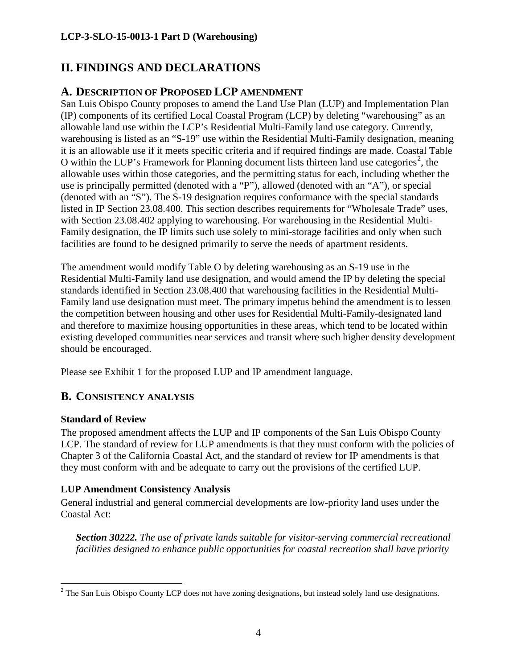# <span id="page-15-0"></span>**II. FINDINGS AND DECLARATIONS**

# <span id="page-15-1"></span>**A. DESCRIPTION OF PROPOSED LCP AMENDMENT**

San Luis Obispo County proposes to amend the Land Use Plan (LUP) and Implementation Plan (IP) components of its certified Local Coastal Program (LCP) by deleting "warehousing" as an allowable land use within the LCP's Residential Multi-Family land use category. Currently, warehousing is listed as an "S-19" use within the Residential Multi-Family designation, meaning it is an allowable use if it meets specific criteria and if required findings are made. Coastal Table O within the LUP's Framework for Planning document lists thirteen land use categories<sup>[2](#page-15-3)</sup>, the allowable uses within those categories, and the permitting status for each, including whether the use is principally permitted (denoted with a "P"), allowed (denoted with an "A"), or special (denoted with an "S"). The S-19 designation requires conformance with the special standards listed in IP Section 23.08.400. This section describes requirements for "Wholesale Trade" uses, with Section 23.08.402 applying to warehousing. For warehousing in the Residential Multi-Family designation, the IP limits such use solely to mini-storage facilities and only when such facilities are found to be designed primarily to serve the needs of apartment residents.

The amendment would modify Table O by deleting warehousing as an S-19 use in the Residential Multi-Family land use designation, and would amend the IP by deleting the special standards identified in Section 23.08.400 that warehousing facilities in the Residential Multi-Family land use designation must meet. The primary impetus behind the amendment is to lessen the competition between housing and other uses for Residential Multi-Family-designated land and therefore to maximize housing opportunities in these areas, which tend to be located within existing developed communities near services and transit where such higher density development should be encouraged.

Please see Exhibit 1 for the proposed LUP and IP amendment language.

# <span id="page-15-2"></span>**B. CONSISTENCY ANALYSIS**

## **Standard of Review**

The proposed amendment affects the LUP and IP components of the San Luis Obispo County LCP. The standard of review for LUP amendments is that they must conform with the policies of Chapter 3 of the California Coastal Act, and the standard of review for IP amendments is that they must conform with and be adequate to carry out the provisions of the certified LUP.

## **LUP Amendment Consistency Analysis**

General industrial and general commercial developments are low-priority land uses under the Coastal Act:

*Section 30222. The use of private lands suitable for visitor-serving commercial recreational facilities designed to enhance public opportunities for coastal recreation shall have priority* 

<span id="page-15-3"></span> $\overline{a}$  $2$  The San Luis Obispo County LCP does not have zoning designations, but instead solely land use designations.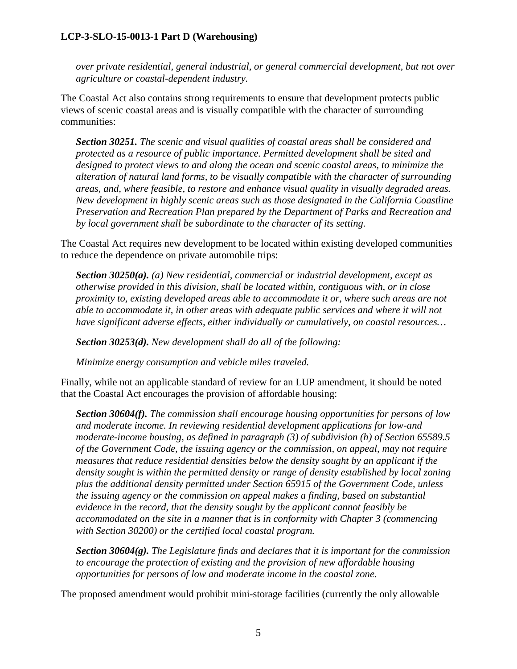*over private residential, general industrial, or general commercial development, but not over agriculture or coastal-dependent industry.* 

The Coastal Act also contains strong requirements to ensure that development protects public views of scenic coastal areas and is visually compatible with the character of surrounding communities:

*Section 30251. The scenic and visual qualities of coastal areas shall be considered and protected as a resource of public importance. Permitted development shall be sited and designed to protect views to and along the ocean and scenic coastal areas, to minimize the alteration of natural land forms, to be visually compatible with the character of surrounding areas, and, where feasible, to restore and enhance visual quality in visually degraded areas. New development in highly scenic areas such as those designated in the California Coastline Preservation and Recreation Plan prepared by the Department of Parks and Recreation and by local government shall be subordinate to the character of its setting.* 

The Coastal Act requires new development to be located within existing developed communities to reduce the dependence on private automobile trips:

*Section 30250(a). (a) New residential, commercial or industrial development, except as otherwise provided in this division, shall be located within, contiguous with, or in close proximity to, existing developed areas able to accommodate it or, where such areas are not able to accommodate it, in other areas with adequate public services and where it will not have significant adverse effects, either individually or cumulatively, on coastal resources…*

*Section 30253(d). New development shall do all of the following:* 

*Minimize energy consumption and vehicle miles traveled.* 

Finally, while not an applicable standard of review for an LUP amendment, it should be noted that the Coastal Act encourages the provision of affordable housing:

*Section 30604(f). The commission shall encourage housing opportunities for persons of low and moderate income. In reviewing residential development applications for low-and moderate-income housing, as defined in paragraph (3) of subdivision (h) of Section 65589.5 of the Government Code, the issuing agency or the commission, on appeal, may not require measures that reduce residential densities below the density sought by an applicant if the density sought is within the permitted density or range of density established by local zoning plus the additional density permitted under Section 65915 of the Government Code, unless the issuing agency or the commission on appeal makes a finding, based on substantial evidence in the record, that the density sought by the applicant cannot feasibly be accommodated on the site in a manner that is in conformity with Chapter 3 (commencing with Section 30200) or the certified local coastal program.* 

*Section 30604(g). The Legislature finds and declares that it is important for the commission to encourage the protection of existing and the provision of new affordable housing opportunities for persons of low and moderate income in the coastal zone.* 

The proposed amendment would prohibit mini-storage facilities (currently the only allowable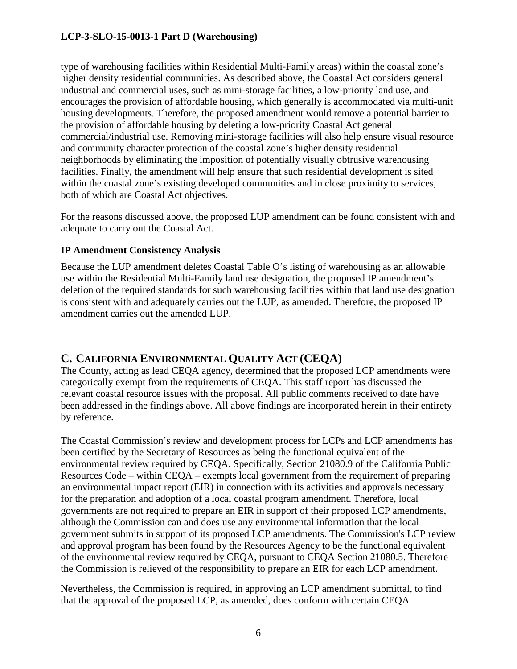type of warehousing facilities within Residential Multi-Family areas) within the coastal zone's higher density residential communities. As described above, the Coastal Act considers general industrial and commercial uses, such as mini-storage facilities, a low-priority land use, and encourages the provision of affordable housing, which generally is accommodated via multi-unit housing developments. Therefore, the proposed amendment would remove a potential barrier to the provision of affordable housing by deleting a low-priority Coastal Act general commercial/industrial use. Removing mini-storage facilities will also help ensure visual resource and community character protection of the coastal zone's higher density residential neighborhoods by eliminating the imposition of potentially visually obtrusive warehousing facilities. Finally, the amendment will help ensure that such residential development is sited within the coastal zone's existing developed communities and in close proximity to services, both of which are Coastal Act objectives.

For the reasons discussed above, the proposed LUP amendment can be found consistent with and adequate to carry out the Coastal Act.

### **IP Amendment Consistency Analysis**

Because the LUP amendment deletes Coastal Table O's listing of warehousing as an allowable use within the Residential Multi-Family land use designation, the proposed IP amendment's deletion of the required standards for such warehousing facilities within that land use designation is consistent with and adequately carries out the LUP, as amended. Therefore, the proposed IP amendment carries out the amended LUP.

# <span id="page-17-0"></span>**C. CALIFORNIA ENVIRONMENTAL QUALITY ACT (CEQA)**

The County, acting as lead CEQA agency, determined that the proposed LCP amendments were categorically exempt from the requirements of CEQA. This staff report has discussed the relevant coastal resource issues with the proposal. All public comments received to date have been addressed in the findings above. All above findings are incorporated herein in their entirety by reference.

The Coastal Commission's review and development process for LCPs and LCP amendments has been certified by the Secretary of Resources as being the functional equivalent of the environmental review required by CEQA. Specifically, Section 21080.9 of the California Public Resources Code – within CEQA – exempts local government from the requirement of preparing an environmental impact report (EIR) in connection with its activities and approvals necessary for the preparation and adoption of a local coastal program amendment. Therefore, local governments are not required to prepare an EIR in support of their proposed LCP amendments, although the Commission can and does use any environmental information that the local government submits in support of its proposed LCP amendments. The Commission's LCP review and approval program has been found by the Resources Agency to be the functional equivalent of the environmental review required by CEQA, pursuant to CEQA Section 21080.5. Therefore the Commission is relieved of the responsibility to prepare an EIR for each LCP amendment.

Nevertheless, the Commission is required, in approving an LCP amendment submittal, to find that the approval of the proposed LCP, as amended, does conform with certain CEQA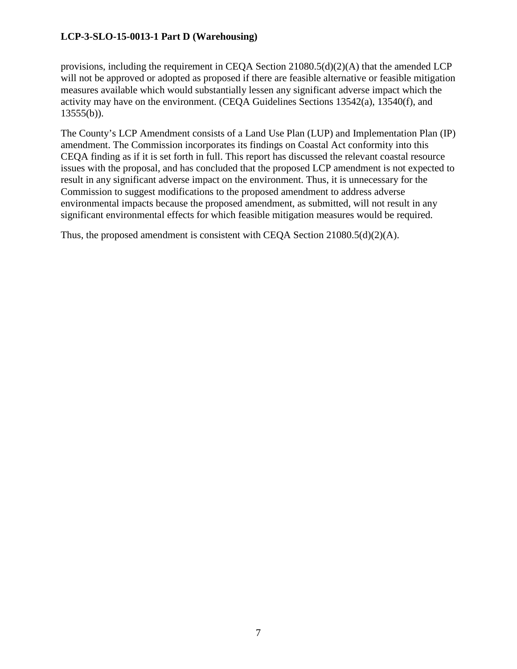provisions, including the requirement in CEQA Section 21080.5(d)(2)(A) that the amended LCP will not be approved or adopted as proposed if there are feasible alternative or feasible mitigation measures available which would substantially lessen any significant adverse impact which the activity may have on the environment. (CEQA Guidelines Sections 13542(a), 13540(f), and  $13555(b)$ ).

The County's LCP Amendment consists of a Land Use Plan (LUP) and Implementation Plan (IP) amendment. The Commission incorporates its findings on Coastal Act conformity into this CEQA finding as if it is set forth in full. This report has discussed the relevant coastal resource issues with the proposal, and has concluded that the proposed LCP amendment is not expected to result in any significant adverse impact on the environment. Thus, it is unnecessary for the Commission to suggest modifications to the proposed amendment to address adverse environmental impacts because the proposed amendment, as submitted, will not result in any significant environmental effects for which feasible mitigation measures would be required.

Thus, the proposed amendment is consistent with CEQA Section 21080.5(d)(2)(A).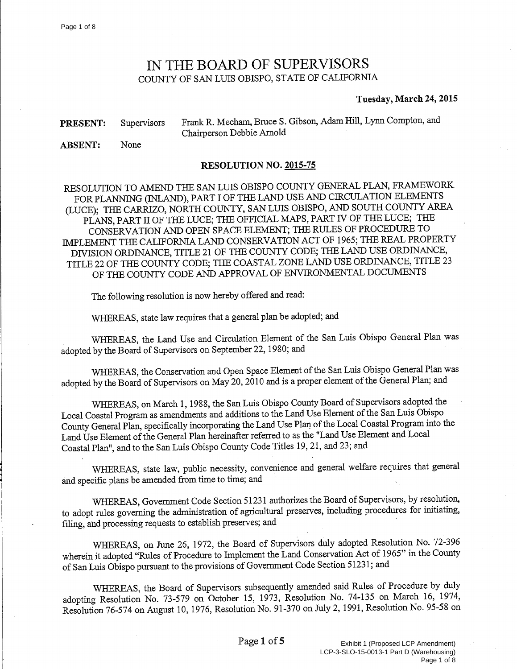# IN THE BOARD OF SUPERVISORS COUNTY OF SAN LUIS OBISPO, STATE OF CALIFORNIA

#### Tuesday, March 24, 2015

<span id="page-19-0"></span>

| <b>PRESENT:</b> Supervisors | Frank R. Mecham, Bruce S. Gibson, Adam Hill, Lynn Compton, and |
|-----------------------------|----------------------------------------------------------------|
|                             | Chairperson Debbie Arnold                                      |

None **ABSENT:** 

#### RESOLUTION NO. 2015-75

RESOLUTION TO AMEND THE SAN LUIS OBISPO COUNTY GENERAL PLAN, FRAMEWORK FOR PLANNING (INLAND), PART I OF THE LAND USE AND CIRCULATION ELEMENTS (LUCE); THE CARRIZO, NORTH COUNTY, SAN LUIS OBISPO, AND SOUTH COUNTY AREA PLANS, PART II OF THE LUCE; THE OFFICIAL MAPS, PART IV OF THE LUCE; THE CONSERVATION AND OPEN SPACE ELEMENT; THE RULES OF PROCEDURE TO IMPLEMENT THE CALIFORNIA LAND CONSERVATION ACT OF 1965; THE REAL PROPERTY DIVISION ORDINANCE, TITLE 21 OF THE COUNTY CODE; THE LAND USE ORDINANCE, TITLE 22 OF THE COUNTY CODE; THE COASTAL ZONE LAND USE ORDINANCE, TITLE 23 OF THE COUNTY CODE AND APPROVAL OF ENVIRONMENTAL DOCUMENTS

The following resolution is now hereby offered and read:

WHEREAS, state law requires that a general plan be adopted; and

WHEREAS, the Land Use and Circulation Element of the San Luis Obispo General Plan was adopted by the Board of Supervisors on September 22, 1980; and

WHEREAS, the Conservation and Open Space Element of the San Luis Obispo General Plan was adopted by the Board of Supervisors on May 20, 2010 and is a proper element of the General Plan; and

WHEREAS, on March 1, 1988, the San Luis Obispo County Board of Supervisors adopted the Local Coastal Program as amendments and additions to the Land Use Element of the San Luis Obispo County General Plan, specifically incorporating the Land Use Plan of the Local Coastal Program into the Land Use Element of the General Plan hereinafter referred to as the "Land Use Element and Local Coastal Plan", and to the San Luis Obispo County Code Titles 19, 21, and 23; and

WHEREAS, state law, public necessity, convenience and general welfare requires that general and specific plans be amended from time to time; and

WHEREAS, Government Code Section 51231 authorizes the Board of Supervisors, by resolution, to adopt rules governing the administration of agricultural preserves, including procedures for initiating, filing, and processing requests to establish preserves; and

WHEREAS, on June 26, 1972, the Board of Supervisors duly adopted Resolution No. 72-396 wherein it adopted "Rules of Procedure to Implement the Land Conservation Act of 1965" in the County of San Luis Obispo pursuant to the provisions of Government Code Section 51231; and

WHEREAS, the Board of Supervisors subsequently amended said Rules of Procedure by duly adopting Resolution No. 73-579 on October 15, 1973, Resolution No. 74-135 on March 16, 1974, Resolution 76-574 on August 10, 1976, Resolution No. 91-370 on July 2, 1991, Resolution No. 95-58 on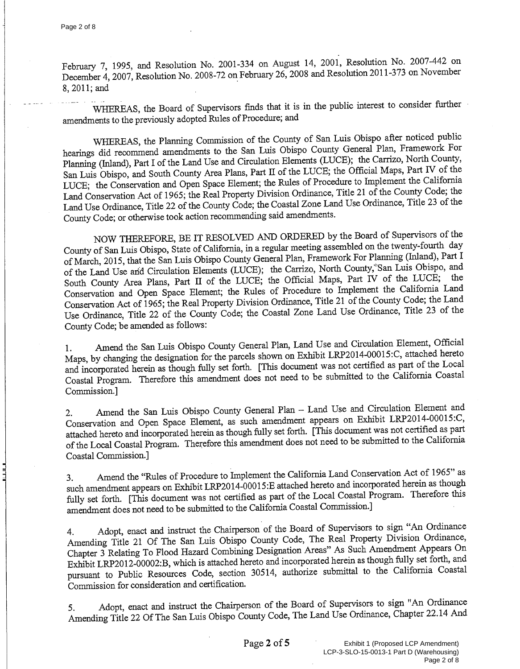$\begin{bmatrix} 1 \\ 2 \\ 3 \end{bmatrix}$ 

February 7, 1995, and Resolution No. 2001-334 on August 14, 2001, Resolution No. 2007-442 on December 4, 2007, Resolution No. 2008-72 on February 26, 2008 and Resolution 2011-373 on November 8, 2011; and

WHEREAS, the Board of Supervisors finds that it is in the public interest to consider further amendments to the previously adopted Rules of Procedure; and

WHEREAS, the Planning Commission of the County of San Luis Obispo after noticed public hearings did recommend amendments to the San Luis Obispo County General Plan, Framework For Planning (Inland), Part I of the Land Use and Circulation Elements (LUCE); the Carrizo, North County, San Luis Obispo, and South County Area Plans, Part II of the LUCE; the Official Maps, Part IV of the LUCE; the Conservation and Open Space Element; the Rules of Procedure to Implement the California Land Conservation Act of 1965; the Real Property Division Ordinance, Title 21 of the County Code; the Land Use Ordinance, Title 22 of the County Code; the Coastal Zone Land Use Ordinance, Title 23 of the County Code; or otherwise took action recommending said amendments.

NOW THEREFORE, BE IT RESOLVED AND ORDERED by the Board of Supervisors of the County of San Luis Obispo, State of California, in a regular meeting assembled on the twenty-fourth day of March, 2015, that the San Luis Obispo County General Plan, Framework For Planning (Inland), Part I of the Land Use and Circulation Elements (LUCE); the Carrizo, North County, San Luis Obispo, and South County Area Plans, Part II of the LUCE; the Official Maps, Part IV of the LUCE; the Conservation and Open Space Element; the Rules of Procedure to Implement the California Land Conservation Act of 1965; the Real Property Division Ordinance, Title 21 of the County Code; the Land Use Ordinance, Title 22 of the County Code; the Coastal Zone Land Use Ordinance, Title 23 of the County Code; be amended as follows:

Amend the San Luis Obispo County General Plan, Land Use and Circulation Element, Official  $1.$ Maps, by changing the designation for the parcels shown on Exhibit LRP2014-00015:C, attached hereto and incorporated herein as though fully set forth. [This document was not certified as part of the Local Coastal Program. Therefore this amendment does not need to be submitted to the California Coastal Commission.]

Amend the San Luis Obispo County General Plan - Land Use and Circulation Element and  $2.$ Conservation and Open Space Element, as such amendment appears on Exhibit LRP2014-00015:C, attached hereto and incorporated herein as though fully set forth. [This document was not certified as part of the Local Coastal Program. Therefore this amendment does not need to be submitted to the California Coastal Commission.]

Amend the "Rules of Procedure to Implement the California Land Conservation Act of 1965" as 3. such amendment appears on Exhibit LRP2014-00015:E attached hereto and incorporated herein as though fully set forth. [This document was not certified as part of the Local Coastal Program. Therefore this amendment does not need to be submitted to the California Coastal Commission.]

Adopt, enact and instruct the Chairperson of the Board of Supervisors to sign "An Ordinance  $4.$ Amending Title 21 Of The San Luis Obispo County Code, The Real Property Division Ordinance, Chapter 3 Relating To Flood Hazard Combining Designation Areas" As Such Amendment Appears On Exhibit LRP2012-00002:B, which is attached hereto and incorporated herein as though fully set forth, and pursuant to Public Resources Code, section 30514, authorize submittal to the California Coastal Commission for consideration and certification.

Adopt, enact and instruct the Chairperson of the Board of Supervisors to sign "An Ordinance 5. Amending Title 22 Of The San Luis Obispo County Code, The Land Use Ordinance, Chapter 22.14 And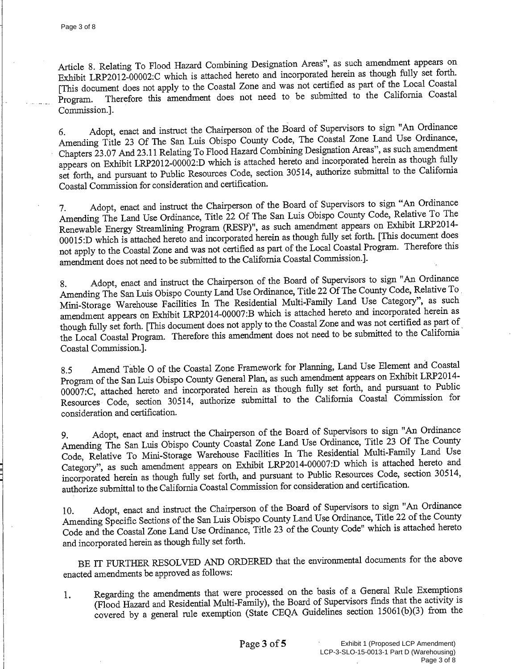Article 8. Relating To Flood Hazard Combining Designation Areas", as such amendment appears on Exhibit LRP2012-00002:C which is attached hereto and incorporated herein as though fully set forth. [This document does not apply to the Coastal Zone and was not certified as part of the Local Coastal Therefore this amendment does not need to be submitted to the California Coastal Program. Commission.].

Adopt, enact and instruct the Chairperson of the Board of Supervisors to sign "An Ordinance 6. Amending Title 23 Of The San Luis Obispo County Code, The Coastal Zone Land Use Ordinance, Chapters 23.07 And 23.11 Relating To Flood Hazard Combining Designation Areas", as such amendment appears on Exhibit LRP2012-00002:D which is attached hereto and incorporated herein as though fully set forth, and pursuant to Public Resources Code, section 30514, authorize submittal to the California Coastal Commission for consideration and certification.

Adopt, enact and instruct the Chairperson of the Board of Supervisors to sign "An Ordinance 7. Amending The Land Use Ordinance, Title 22 Of The San Luis Obispo County Code, Relative To The Renewable Energy Streamlining Program (RESP)", as such amendment appears on Exhibit LRP2014-00015:D which is attached hereto and incorporated herein as though fully set forth. [This document does not apply to the Coastal Zone and was not certified as part of the Local Coastal Program. Therefore this amendment does not need to be submitted to the California Coastal Commission.].

Adopt, enact and instruct the Chairperson of the Board of Supervisors to sign "An Ordinance 8. Amending The San Luis Obispo County Land Use Ordinance, Title 22 Of The County Code, Relative To Mini-Storage Warehouse Facilities In The Residential Multi-Family Land Use Category", as such amendment appears on Exhibit LRP2014-00007:B which is attached hereto and incorporated herein as though fully set forth. [This document does not apply to the Coastal Zone and was not certified as part of the Local Coastal Program. Therefore this amendment does not need to be submitted to the California Coastal Commission.].

Amend Table O of the Coastal Zone Framework for Planning, Land Use Element and Coastal 8.5 Program of the San Luis Obispo County General Plan, as such amendment appears on Exhibit LRP2014-00007:C, attached hereto and incorporated herein as though fully set forth, and pursuant to Public Resources Code, section 30514, authorize submittal to the California Coastal Commission for consideration and certification.

Adopt, enact and instruct the Chairperson of the Board of Supervisors to sign "An Ordinance 9. Amending The San Luis Obispo County Coastal Zone Land Use Ordinance, Title 23 Of The County Code, Relative To Mini-Storage Warehouse Facilities In The Residential Multi-Family Land Use Category", as such amendment appears on Exhibit LRP2014-00007:D which is attached hereto and incorporated herein as though fully set forth, and pursuant to Public Resources Code, section 30514, authorize submittal to the California Coastal Commission for consideration and certification.

Adopt, enact and instruct the Chairperson of the Board of Supervisors to sign "An Ordinance 10. Amending Specific Sections of the San Luis Obispo County Land Use Ordinance, Title 22 of the County Code and the Coastal Zone Land Use Ordinance, Title 23 of the County Code" which is attached hereto and incorporated herein as though fully set forth.

BE IT FURTHER RESOLVED AND ORDERED that the environmental documents for the above enacted amendments be approved as follows:

Regarding the amendments that were processed on the basis of a General Rule Exemptions 1. (Flood Hazard and Residential Multi-Family), the Board of Supervisors finds that the activity is covered by a general rule exemption (State CEQA Guidelines section 15061(b)(3) from the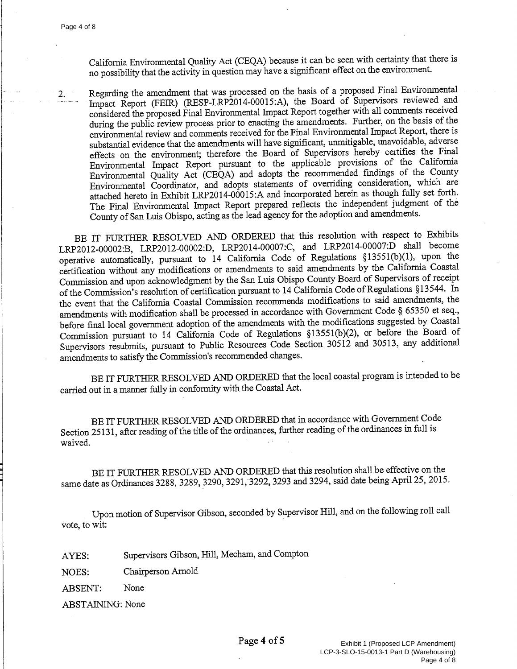$2.$ 

California Environmental Quality Act (CEQA) because it can be seen with certainty that there is no possibility that the activity in question may have a significant effect on the environment.

Regarding the amendment that was processed on the basis of a proposed Final Environmental Impact Report (FEIR) (RESP-LRP2014-00015:A), the Board of Supervisors reviewed and considered the proposed Final Environmental Impact Report together with all comments received during the public review process prior to enacting the amendments. Further, on the basis of the environmental review and comments received for the Final Environmental Impact Report, there is substantial evidence that the amendments will have significant, unmitigable, unavoidable, adverse effects on the environment; therefore the Board of Supervisors hereby certifies the Final Environmental Impact Report pursuant to the applicable provisions of the California Environmental Quality Act (CEQA) and adopts the recommended findings of the County Environmental Coordinator, and adopts statements of overriding consideration, which are attached hereto in Exhibit LRP2014-00015:A and incorporated herein as though fully set forth. The Final Environmental Impact Report prepared reflects the independent judgment of the County of San Luis Obispo, acting as the lead agency for the adoption and amendments.

BE IT FURTHER RESOLVED AND ORDERED that this resolution with respect to Exhibits LRP2012-00002:B, LRP2012-00002:D, LRP2014-00007:C, and LRP2014-00007:D shall become operative automatically, pursuant to 14 California Code of Regulations §13551(b)(1), upon the certification without any modifications or amendments to said amendments by the California Coastal Commission and upon acknowledgment by the San Luis Obispo County Board of Supervisors of receipt of the Commission's resolution of certification pursuant to 14 California Code of Regulations §13544. In the event that the California Coastal Commission recommends modifications to said amendments, the amendments with modification shall be processed in accordance with Government Code § 65350 et seq., before final local government adoption of the amendments with the modifications suggested by Coastal Commission pursuant to 14 California Code of Regulations §13551(b)(2), or before the Board of Supervisors resubmits, pursuant to Public Resources Code Section 30512 and 30513, any additional amendments to satisfy the Commission's recommended changes.

BE IT FURTHER RESOLVED AND ORDERED that the local coastal program is intended to be carried out in a manner fully in conformity with the Coastal Act.

BE IT FURTHER RESOLVED AND ORDERED that in accordance with Government Code Section 25131, after reading of the title of the ordinances, further reading of the ordinances in full is waived.

BE IT FURTHER RESOLVED AND ORDERED that this resolution shall be effective on the same date as Ordinances 3288, 3289, 3290, 3291, 3292, 3293 and 3294, said date being April 25, 2015.

Upon motion of Supervisor Gibson, seconded by Supervisor Hill, and on the following roll call vote, to wit:

Supervisors Gibson, Hill, Mecham, and Compton AYES:

Chairperson Arnold NOES:

None **ABSENT:** 

**ABSTAINING: None**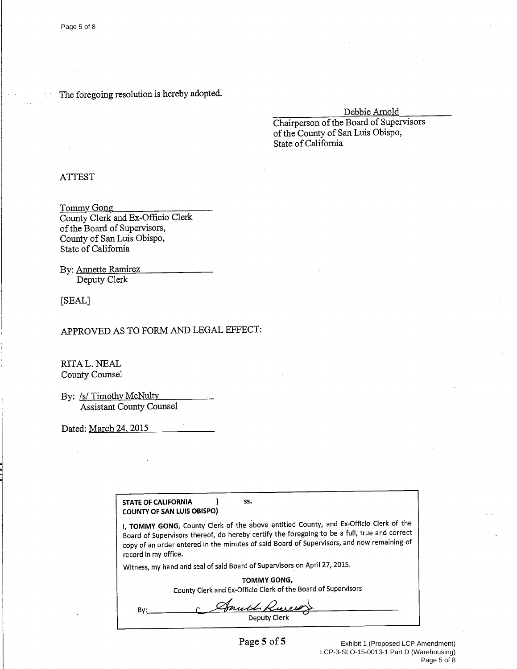#### The foregoing resolution is hereby adopted.

Debbie Arnold

Chairperson of the Board of Supervisors of the County of San Luis Obispo, State of California

#### **ATTEST**

Tommy Gong County Clerk and Ex-Officio Clerk of the Board of Supervisors, County of San Luis Obispo, State of California

By: Annette Ramirez Deputy Clerk

[SEAL]

## APPROVED AS TO FORM AND LEGAL EFFECT:

RITA L. NEAL County Counsel

By: /s/ Timothy McNulty Assistant County Counsel

Dated: March 24, 2015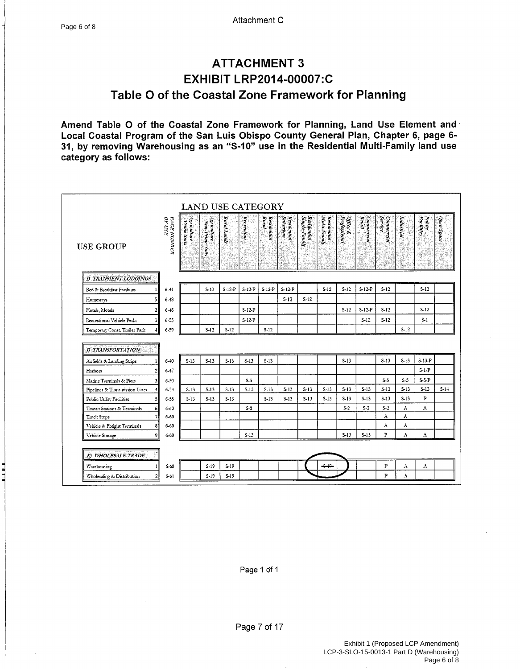# **ATTACHMENT 3 EXHIBIT LRP2014-00007:C** Table O of the Coastal Zone Framework for Planning

Amend Table O of the Coastal Zone Framework for Planning, Land Use Element and Local Coastal Program of the San Luis Obispo County General Plan, Chapter 6, page 6-31, by removing Warehousing as an "S-10" use in the Residential Multi-Family land use category as follows:

| <b>USE GROUP</b>                                            | PAGE NUMBER<br>OF USE       | Agriculture -<br>Prime Soils | Agriculture<br>Non-Prime Soils | Raral Lands | Recreation      | Residential<br>Rural | Residential<br>Subarban | Single-Family<br>Residential | Residential<br>  Multi-Familj | Office &<br>Professional | <b>Commercial</b><br>Resail | Service<br>Connercial | Industrial      | Facilities<br>Public | Open Space |
|-------------------------------------------------------------|-----------------------------|------------------------------|--------------------------------|-------------|-----------------|----------------------|-------------------------|------------------------------|-------------------------------|--------------------------|-----------------------------|-----------------------|-----------------|----------------------|------------|
| <b>D TRANSIENT LODGINGS</b>                                 |                             |                              |                                |             |                 |                      |                         |                              |                               |                          |                             |                       |                 |                      |            |
| Bed & Breakfast Facilities                                  | $6 - 11$<br>$\mathbf{1}$    |                              | $S-12$                         | $S-12-P$    | $S-12-P$        | $S-12-P$             | $S-12$ -P               |                              | $S-12$                        | $S-12$                   | $S-12-P$                    | $S-12$                |                 | $S-12$               |            |
| Homestays                                                   | $6 - 48$<br>5               |                              |                                |             |                 |                      | $S-12$                  | $S-12$                       |                               |                          |                             |                       |                 |                      |            |
| Hotels, Motels                                              | $6 - 45$<br>2               |                              |                                |             | $S-12-P$        |                      |                         |                              |                               | $S-12$                   | $S-12-P$                    | $S-12$                |                 | $S-12$               |            |
| Recreational Vehicle Parks                                  | 31<br>$6 - 55$              |                              |                                |             | $S-I2-P$        |                      |                         |                              |                               |                          | $S-12$                      | $S-12$                |                 | $S-1$                |            |
| Temporary Const. Trailer Park                               | $6 - 59$                    |                              | $S-12$                         | 5-12        |                 | $S-12$               |                         |                              |                               |                          |                             |                       | $S-12$          |                      |            |
| D TRANSPORTATION                                            | $6 - 40$                    | $S-13$                       | $S-13$                         | $S-13$      | $S-13$          | $S-13$               |                         |                              |                               | $S-13$                   |                             | $S-13$                | $S-13$          | $S-13-P$             |            |
| Airfields & Landing Strips                                  |                             |                              |                                |             |                 |                      |                         |                              |                               |                          |                             |                       |                 |                      |            |
|                                                             |                             |                              |                                |             |                 |                      |                         |                              |                               |                          |                             |                       |                 |                      |            |
| Harbors                                                     | $6 - 47$<br>2               |                              |                                |             |                 |                      |                         |                              |                               |                          |                             |                       |                 | $S-1-P$              |            |
| Marine Terminals & Piers                                    | $6 - 50$<br>31<br>$6 - 5 +$ | $S-13$                       | $5-13$                         | $5 - 13$    | $S-5$<br>$S-13$ | $S-13$               | $S-13$                  | $S-13$                       | $S-13$                        | $S-13$                   | $S-13$                      | $S-5$<br>$S-13$       | $S-5$<br>$S-13$ | $S-5-P$<br>$S-13$    |            |
| Pipelines & Transmission Lines<br>Public Utility Facilities | $6 - 55$<br>5               | $S-13$                       | $S-13$                         | $S-13$      |                 | $S-13$               | $S-13$                  | $S-13$                       | $S-13$                        | $S-13$                   | $S-13$                      | $S-13$                | $S-13$          | $\overline{P}$       |            |
| Transit Stations & Terminals                                | $6 - 60$<br>6               |                              |                                |             | $S-2$           |                      |                         |                              |                               | $S-2$                    | $S-2$                       | $S-2$                 | A               | A                    |            |
| Truck Stops                                                 | $6 - 60$                    |                              |                                |             |                 |                      |                         |                              |                               |                          |                             | A                     | A               |                      |            |
| Vehicle & Freight Terminals                                 | $6 - 60$<br>s               |                              |                                |             |                 |                      |                         |                              |                               |                          |                             | A                     | A               |                      |            |
| Vehicle Storage                                             | 9<br>$6 - 60$               |                              |                                |             | $S-13$          |                      |                         |                              |                               | $S-13$                   | $S-13$                      | $\mathbf{P}$          | A               | A                    |            |
|                                                             |                             |                              |                                |             |                 |                      |                         |                              |                               |                          |                             |                       |                 |                      |            |
| K) WHOLESALE TRADE<br>Warehousing                           | 6-60                        |                              | $S-19$                         | $S-19$      |                 |                      |                         |                              | مبء                           |                          |                             | $\mathbf P$           | A               | A                    |            |

#### Page 1 of 1

Page 7 of 17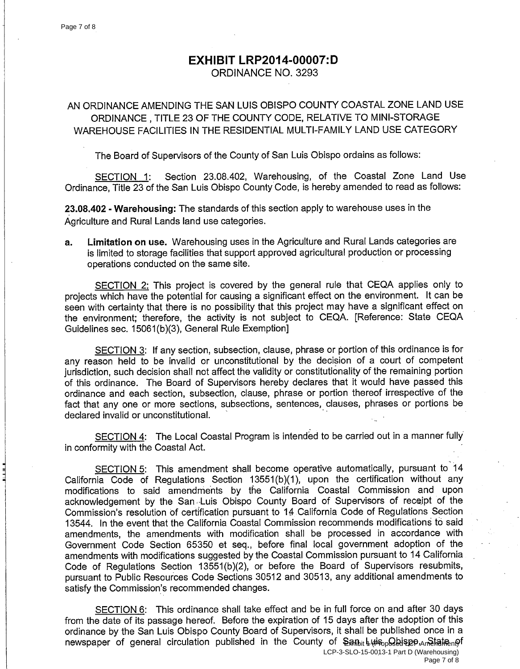# **EXHIBIT LRP2014-00007:D**

ORDINANCE NO. 3293

## AN ORDINANCE AMENDING THE SAN LUIS OBISPO COUNTY COASTAL ZONE LAND USE ORDINANCE, TITLE 23 OF THE COUNTY CODE, RELATIVE TO MINI-STORAGE WAREHOUSE FACILITIES IN THE RESIDENTIAL MULTI-FAMILY LAND USE CATEGORY

The Board of Supervisors of the County of San Luis Obispo ordains as follows:

Section 23.08.402, Warehousing, of the Coastal Zone Land Use SECTION 1: Ordinance. Title 23 of the San Luis Obispo County Code, is hereby amended to read as follows:

23.08.402 - Warehousing: The standards of this section apply to warehouse uses in the Agriculture and Rural Lands land use categories.

Limitation on use. Warehousing uses in the Agriculture and Rural Lands categories are a. is limited to storage facilities that support approved agricultural production or processing operations conducted on the same site.

SECTION 2: This project is covered by the general rule that CEQA applies only to projects which have the potential for causing a significant effect on the environment. It can be seen with certainty that there is no possibility that this project may have a significant effect on the environment; therefore, the activity is not subject to CEQA. [Reference: State CEQA Guidelines sec. 15061(b)(3), General Rule Exemption]

SECTION 3: If any section, subsection, clause, phrase or portion of this ordinance is for any reason held to be invalid or unconstitutional by the decision of a court of competent jurisdiction, such decision shall not affect the validity or constitutionality of the remaining portion of this ordinance. The Board of Supervisors hereby declares that it would have passed this ordinance and each section, subsection, clause, phrase or portion thereof irrespective of the fact that any one or more sections, subsections, sentences, clauses, phrases or portions be declared invalid or unconstitutional.

SECTION 4: The Local Coastal Program is intended to be carried out in a manner fully in conformity with the Coastal Act.

SECTION 5: This amendment shall become operative automatically, pursuant to 14 California Code of Regulations Section 13551(b)(1), upon the certification without any modifications to said amendments by the California Coastal Commission and upon acknowledgement by the San Luis Obispo County Board of Supervisors of receipt of the Commission's resolution of certification pursuant to 14 California Code of Regulations Section 13544. In the event that the California Coastal Commission recommends modifications to said amendments, the amendments with modification shall be processed in accordance with Government Code Section 65350 et seq., before final local government adoption of the amendments with modifications suggested by the Coastal Commission pursuant to 14 California Code of Regulations Section 13551(b)(2), or before the Board of Supervisors resubmits, pursuant to Public Resources Code Sections 30512 and 30513, any additional amendments to satisfy the Commission's recommended changes.

SECTION 6: This ordinance shall take effect and be in full force on and after 30 days from the date of its passage hereof. Before the expiration of 15 days after the adoption of this ordinance by the San Luis Obispo County Board of Supervisors, it shall be published once in a newspaper of general circulation published in the County of  $\frac{1}{2}$  and  $\frac{1}{2}$  wisp  $\frac{1}{2}$  has  $\frac{1}{2}$  and  $\frac{1}{2}$  and  $\frac{1}{2}$  and  $\frac{1}{2}$  and  $\frac{1}{2}$  and  $\frac{1}{2}$  and  $\frac{1}{2}$  and  $\frac{1}{2}$  and  $\frac{1}{$ 

LCP-3-SLO-15-0013-1 Part D (Warehousing)

Page 7 of 8